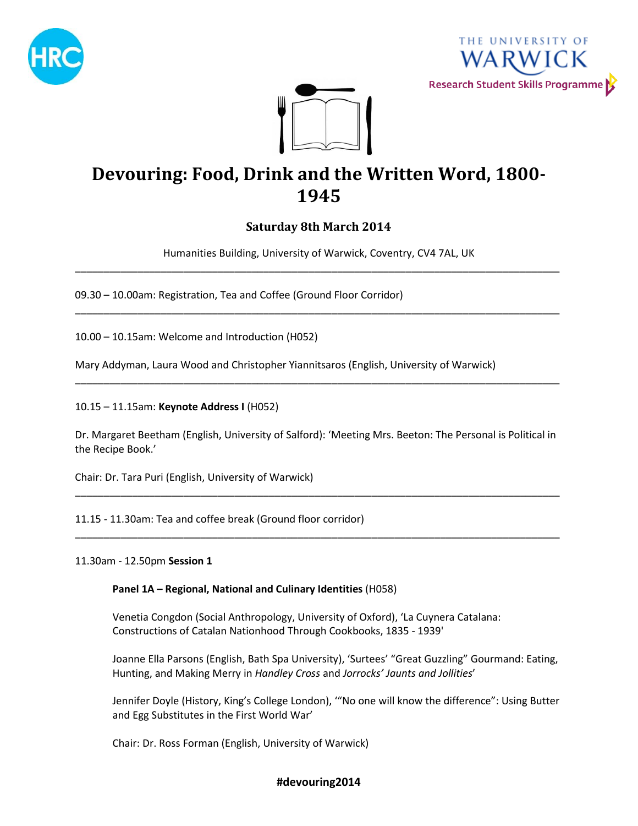





# **Devouring: Food, Drink and the Written Word, 1800- 1945**

# **Saturday 8th March 2014**

Humanities Building, University of Warwick, Coventry, CV4 7AL, UK \_\_\_\_\_\_\_\_\_\_\_\_\_\_\_\_\_\_\_\_\_\_\_\_\_\_\_\_\_\_\_\_\_\_\_\_\_\_\_\_\_\_\_\_\_\_\_\_\_\_\_\_\_\_\_\_\_\_\_\_\_\_\_\_\_\_\_\_\_\_\_\_\_\_\_\_\_\_\_\_\_\_\_\_\_

\_\_\_\_\_\_\_\_\_\_\_\_\_\_\_\_\_\_\_\_\_\_\_\_\_\_\_\_\_\_\_\_\_\_\_\_\_\_\_\_\_\_\_\_\_\_\_\_\_\_\_\_\_\_\_\_\_\_\_\_\_\_\_\_\_\_\_\_\_\_\_\_\_\_\_\_\_\_\_\_\_\_\_\_\_

09.30 – 10.00am: Registration, Tea and Coffee (Ground Floor Corridor)

10.00 – 10.15am: Welcome and Introduction (H052)

Mary Addyman, Laura Wood and Christopher Yiannitsaros (English, University of Warwick)

10.15 – 11.15am: **Keynote Address I** (H052)

Dr. Margaret Beetham (English, University of Salford): 'Meeting Mrs. Beeton: The Personal is Political in the Recipe Book.'

\_\_\_\_\_\_\_\_\_\_\_\_\_\_\_\_\_\_\_\_\_\_\_\_\_\_\_\_\_\_\_\_\_\_\_\_\_\_\_\_\_\_\_\_\_\_\_\_\_\_\_\_\_\_\_\_\_\_\_\_\_\_\_\_\_\_\_\_\_\_\_\_\_\_\_\_\_\_\_\_\_\_\_\_\_

\_\_\_\_\_\_\_\_\_\_\_\_\_\_\_\_\_\_\_\_\_\_\_\_\_\_\_\_\_\_\_\_\_\_\_\_\_\_\_\_\_\_\_\_\_\_\_\_\_\_\_\_\_\_\_\_\_\_\_\_\_\_\_\_\_\_\_\_\_\_\_\_\_\_\_\_\_\_\_\_\_\_\_\_\_

\_\_\_\_\_\_\_\_\_\_\_\_\_\_\_\_\_\_\_\_\_\_\_\_\_\_\_\_\_\_\_\_\_\_\_\_\_\_\_\_\_\_\_\_\_\_\_\_\_\_\_\_\_\_\_\_\_\_\_\_\_\_\_\_\_\_\_\_\_\_\_\_\_\_\_\_\_\_\_\_\_\_\_\_\_

Chair: Dr. Tara Puri (English, University of Warwick)

11.15 - 11.30am: Tea and coffee break (Ground floor corridor)

11.30am - 12.50pm **Session 1**

**Panel 1A – Regional, National and Culinary Identities** (H058)

Venetia Congdon (Social Anthropology, University of Oxford), 'La Cuynera Catalana: Constructions of Catalan Nationhood Through Cookbooks, 1835 - 1939'

Joanne Ella Parsons (English, Bath Spa University), 'Surtees' "Great Guzzling" Gourmand: Eating, Hunting, and Making Merry in *Handley Cross* and *Jorrocks' Jaunts and Jollities*'

Jennifer Doyle (History, King's College London), '"No one will know the difference": Using Butter and Egg Substitutes in the First World War'

Chair: Dr. Ross Forman (English, University of Warwick)

# **#devouring2014**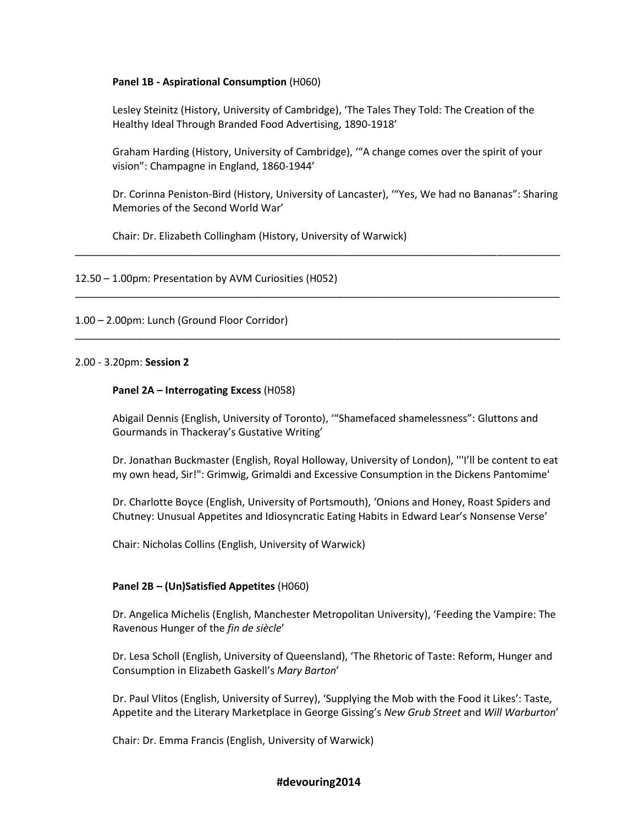# **Panel 1B - Aspirational Consumption** (H060)

Lesley Steinitz (History, University of Cambridge), 'The Tales They Told: The Creation of the Healthy Ideal Through Branded Food Advertising, 1890-1918'

Graham Harding (History, University of Cambridge), '"A change comes over the spirit of your vision": Champagne in England, 1860-1944'

Dr. Corinna Peniston-Bird (History, University of Lancaster), '"Yes, We had no Bananas": Sharing Memories of the Second World War'

\_\_\_\_\_\_\_\_\_\_\_\_\_\_\_\_\_\_\_\_\_\_\_\_\_\_\_\_\_\_\_\_\_\_\_\_\_\_\_\_\_\_\_\_\_\_\_\_\_\_\_\_\_\_\_\_\_\_\_\_\_\_\_\_\_\_\_\_\_\_\_\_\_\_\_\_\_\_\_\_\_\_\_\_\_

\_\_\_\_\_\_\_\_\_\_\_\_\_\_\_\_\_\_\_\_\_\_\_\_\_\_\_\_\_\_\_\_\_\_\_\_\_\_\_\_\_\_\_\_\_\_\_\_\_\_\_\_\_\_\_\_\_\_\_\_\_\_\_\_\_\_\_\_\_\_\_\_\_\_\_\_\_\_\_\_\_\_\_\_\_

\_\_\_\_\_\_\_\_\_\_\_\_\_\_\_\_\_\_\_\_\_\_\_\_\_\_\_\_\_\_\_\_\_\_\_\_\_\_\_\_\_\_\_\_\_\_\_\_\_\_\_\_\_\_\_\_\_\_\_\_\_\_\_\_\_\_\_\_\_\_\_\_\_\_\_\_\_\_\_\_\_\_\_\_\_

Chair: Dr. Elizabeth Collingham (History, University of Warwick)

# 12.50 – 1.00pm: Presentation by AVM Curiosities (H052)

# 1.00 – 2.00pm: Lunch (Ground Floor Corridor)

### 2.00 - 3.20pm: **Session 2**

# **Panel 2A – Interrogating Excess** (H058)

Abigail Dennis (English, University of Toronto), '"Shamefaced shamelessness": Gluttons and Gourmands in Thackeray's Gustative Writing'

Dr. Jonathan Buckmaster (English, Royal Holloway, University of London), '''I'll be content to eat my own head, Sir!": Grimwig, Grimaldi and Excessive Consumption in the Dickens Pantomime'

Dr. Charlotte Boyce (English, University of Portsmouth), 'Onions and Honey, Roast Spiders and Chutney: Unusual Appetites and Idiosyncratic Eating Habits in Edward Lear's Nonsense Verse'

Chair: Nicholas Collins (English, University of Warwick)

### **Panel 2B – (Un)Satisfied Appetites** (H060)

Dr. Angelica Michelis (English, Manchester Metropolitan University), 'Feeding the Vampire: The Ravenous Hunger of the *fin de siècle*'

Dr. Lesa Scholl (English, University of Queensland), 'The Rhetoric of Taste: Reform, Hunger and Consumption in Elizabeth Gaskell's *Mary Barton*'

Dr. Paul Vlitos (English, University of Surrey), 'Supplying the Mob with the Food it Likes': Taste, Appetite and the Literary Marketplace in George Gissing's *New Grub Street* and *Will Warburton*'

Chair: Dr. Emma Francis (English, University of Warwick)

### **#devouring2014**